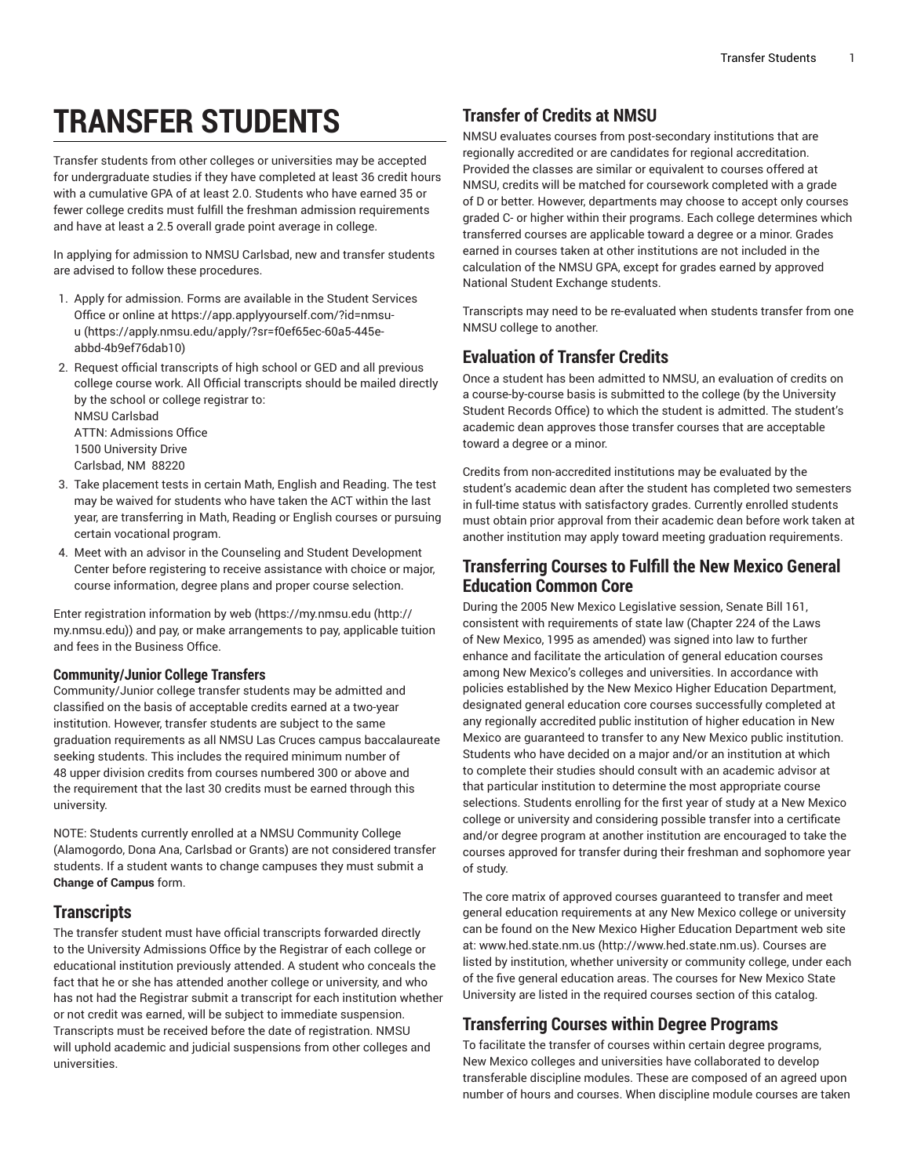# **TRANSFER STUDENTS**

Transfer students from other colleges or universities may be accepted for undergraduate studies if they have completed at least 36 credit hours with a cumulative GPA of at least 2.0. Students who have earned 35 or fewer college credits must fulfill the freshman admission requirements and have at least a 2.5 overall grade point average in college.

In applying for admission to NMSU Carlsbad, new and transfer students are advised to follow these procedures.

- 1. Apply for admission. Forms are available in the Student Services Office or online at [https://app.applyyourself.com/?id=nmsu](https://apply.nmsu.edu/apply/?sr=f0ef65ec-60a5-445e-abbd-4b9ef76dab10)[u \(https://apply.nmsu.edu/apply/?sr=f0ef65ec-60a5-445e](https://apply.nmsu.edu/apply/?sr=f0ef65ec-60a5-445e-abbd-4b9ef76dab10)[abbd-4b9ef76dab10](https://apply.nmsu.edu/apply/?sr=f0ef65ec-60a5-445e-abbd-4b9ef76dab10))
- 2. Request official transcripts of high school or GED and all previous college course work. All Official transcripts should be mailed directly by the school or college registrar to: NMSU Carlsbad

ATTN: Admissions Office 1500 University Drive Carlsbad, NM 88220

- 3. Take placement tests in certain Math, English and Reading. The test may be waived for students who have taken the ACT within the last year, are transferring in Math, Reading or English courses or pursuing certain vocational program.
- 4. Meet with an advisor in the Counseling and Student Development Center before registering to receive assistance with choice or major, course information, degree plans and proper course selection.

Enter registration information by web [\(https://my.nmsu.edu \(http://](http://my.nmsu.edu) [my.nmsu.edu](http://my.nmsu.edu))) and pay, or make arrangements to pay, applicable tuition and fees in the Business Office.

#### **Community/Junior College Transfers**

Community/Junior college transfer students may be admitted and classified on the basis of acceptable credits earned at a two-year institution. However, transfer students are subject to the same graduation requirements as all NMSU Las Cruces campus baccalaureate seeking students. This includes the required minimum number of 48 upper division credits from courses numbered 300 or above and the requirement that the last 30 credits must be earned through this university.

NOTE: Students currently enrolled at a NMSU Community College (Alamogordo, Dona Ana, Carlsbad or Grants) are not considered transfer students. If a student wants to change campuses they must submit a **Change of Campus** form.

#### **Transcripts**

The transfer student must have official transcripts forwarded directly to the University Admissions Office by the Registrar of each college or educational institution previously attended. A student who conceals the fact that he or she has attended another college or university, and who has not had the Registrar submit a transcript for each institution whether or not credit was earned, will be subject to immediate suspension. Transcripts must be received before the date of registration. NMSU will uphold academic and judicial suspensions from other colleges and universities.

## **Transfer of Credits at NMSU**

NMSU evaluates courses from post-secondary institutions that are regionally accredited or are candidates for regional accreditation. Provided the classes are similar or equivalent to courses offered at NMSU, credits will be matched for coursework completed with a grade of D or better. However, departments may choose to accept only courses graded C- or higher within their programs. Each college determines which transferred courses are applicable toward a degree or a minor. Grades earned in courses taken at other institutions are not included in the calculation of the NMSU GPA, except for grades earned by approved National Student Exchange students.

Transcripts may need to be re-evaluated when students transfer from one NMSU college to another.

## **Evaluation of Transfer Credits**

Once a student has been admitted to NMSU, an evaluation of credits on a course-by-course basis is submitted to the college (by the University Student Records Office) to which the student is admitted. The student's academic dean approves those transfer courses that are acceptable toward a degree or a minor.

Credits from non-accredited institutions may be evaluated by the student's academic dean after the student has completed two semesters in full-time status with satisfactory grades. Currently enrolled students must obtain prior approval from their academic dean before work taken at another institution may apply toward meeting graduation requirements.

# **Transferring Courses to Fulfill the New Mexico General Education Common Core**

During the 2005 New Mexico Legislative session, Senate Bill 161, consistent with requirements of state law (Chapter 224 of the Laws of New Mexico, 1995 as amended) was signed into law to further enhance and facilitate the articulation of general education courses among New Mexico's colleges and universities. In accordance with policies established by the New Mexico Higher Education Department, designated general education core courses successfully completed at any regionally accredited public institution of higher education in New Mexico are guaranteed to transfer to any New Mexico public institution. Students who have decided on a major and/or an institution at which to complete their studies should consult with an academic advisor at that particular institution to determine the most appropriate course selections. Students enrolling for the first year of study at a New Mexico college or university and considering possible transfer into a certificate and/or degree program at another institution are encouraged to take the courses approved for transfer during their freshman and sophomore year of study.

The core matrix of approved courses guaranteed to transfer and meet general education requirements at any New Mexico college or university can be found on the New Mexico Higher Education Department web site at: [www.hed.state.nm.us \(http://www.hed.state.nm.us\)](http://www.hed.state.nm.us). Courses are listed by institution, whether university or community college, under each of the five general education areas. The courses for New Mexico State University are listed in the required courses section of this catalog.

## **Transferring Courses within Degree Programs**

To facilitate the transfer of courses within certain degree programs, New Mexico colleges and universities have collaborated to develop transferable discipline modules. These are composed of an agreed upon number of hours and courses. When discipline module courses are taken